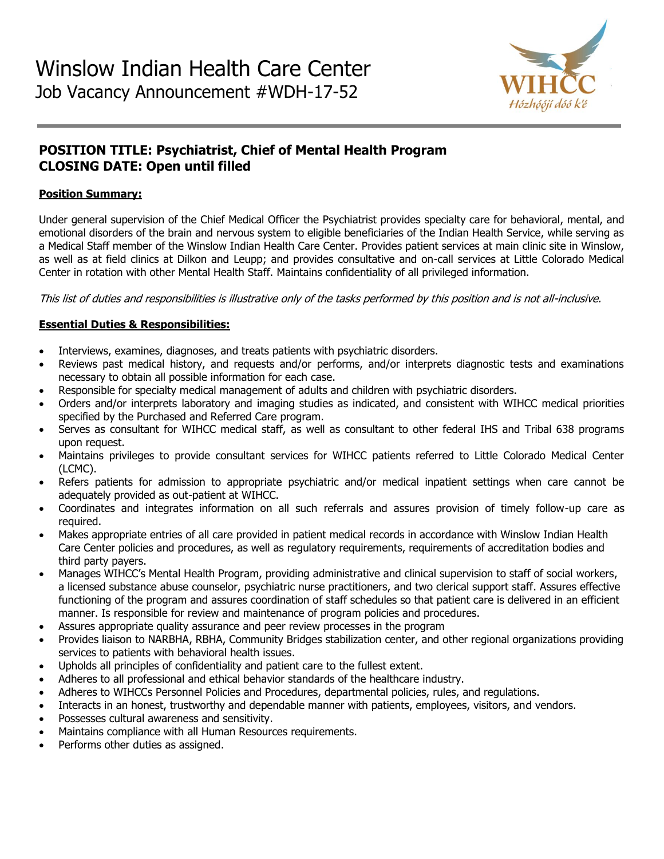

# **POSITION TITLE: Psychiatrist, Chief of Mental Health Program CLOSING DATE: Open until filled**

### **Position Summary:**

Under general supervision of the Chief Medical Officer the Psychiatrist provides specialty care for behavioral, mental, and emotional disorders of the brain and nervous system to eligible beneficiaries of the Indian Health Service, while serving as a Medical Staff member of the Winslow Indian Health Care Center. Provides patient services at main clinic site in Winslow, as well as at field clinics at Dilkon and Leupp; and provides consultative and on-call services at Little Colorado Medical Center in rotation with other Mental Health Staff. Maintains confidentiality of all privileged information.

This list of duties and responsibilities is illustrative only of the tasks performed by this position and is not all-inclusive.

## **Essential Duties & Responsibilities:**

- Interviews, examines, diagnoses, and treats patients with psychiatric disorders.
- Reviews past medical history, and requests and/or performs, and/or interprets diagnostic tests and examinations necessary to obtain all possible information for each case.
- Responsible for specialty medical management of adults and children with psychiatric disorders.
- Orders and/or interprets laboratory and imaging studies as indicated, and consistent with WIHCC medical priorities specified by the Purchased and Referred Care program.
- Serves as consultant for WIHCC medical staff, as well as consultant to other federal IHS and Tribal 638 programs upon request.
- Maintains privileges to provide consultant services for WIHCC patients referred to Little Colorado Medical Center (LCMC).
- Refers patients for admission to appropriate psychiatric and/or medical inpatient settings when care cannot be adequately provided as out-patient at WIHCC.
- Coordinates and integrates information on all such referrals and assures provision of timely follow-up care as required.
- Makes appropriate entries of all care provided in patient medical records in accordance with Winslow Indian Health Care Center policies and procedures, as well as regulatory requirements, requirements of accreditation bodies and third party payers.
- Manages WIHCC's Mental Health Program, providing administrative and clinical supervision to staff of social workers, a licensed substance abuse counselor, psychiatric nurse practitioners, and two clerical support staff. Assures effective functioning of the program and assures coordination of staff schedules so that patient care is delivered in an efficient manner. Is responsible for review and maintenance of program policies and procedures.
- Assures appropriate quality assurance and peer review processes in the program
- Provides liaison to NARBHA, RBHA, Community Bridges stabilization center, and other regional organizations providing services to patients with behavioral health issues.
- Upholds all principles of confidentiality and patient care to the fullest extent.
- Adheres to all professional and ethical behavior standards of the healthcare industry.
- Adheres to WIHCCs Personnel Policies and Procedures, departmental policies, rules, and regulations.
- Interacts in an honest, trustworthy and dependable manner with patients, employees, visitors, and vendors.
- Possesses cultural awareness and sensitivity.
- Maintains compliance with all Human Resources requirements.
- Performs other duties as assigned.